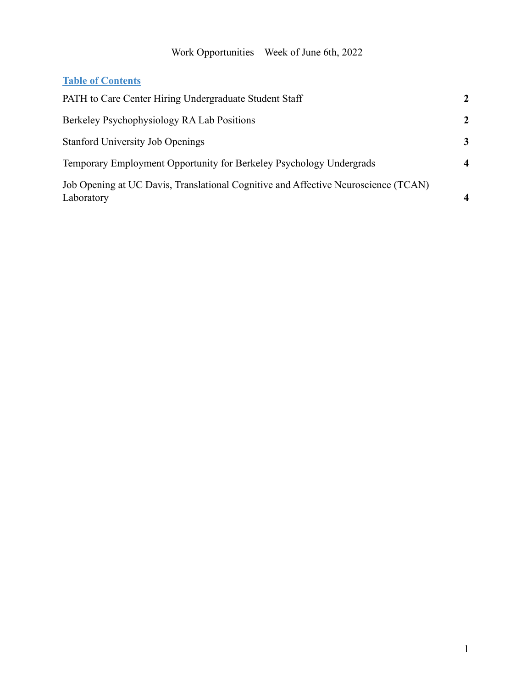#### Work Opportunities – Week of June 6th, 2022

#### **Table of Contents**

| PATH to Care Center Hiring Undergraduate Student Staff                                           | 2                       |
|--------------------------------------------------------------------------------------------------|-------------------------|
| Berkeley Psychophysiology RA Lab Positions                                                       | 2                       |
| <b>Stanford University Job Openings</b>                                                          | 3                       |
| Temporary Employment Opportunity for Berkeley Psychology Undergrads                              | $\overline{\mathbf{4}}$ |
| Job Opening at UC Davis, Translational Cognitive and Affective Neuroscience (TCAN)<br>Laboratory | $\boldsymbol{4}$        |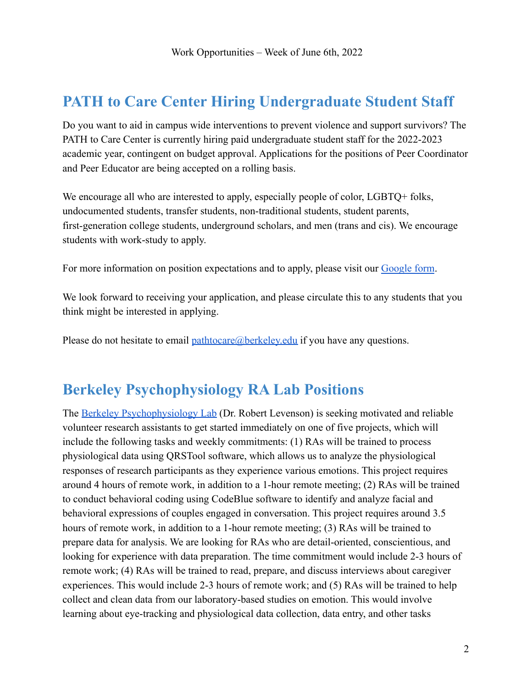## <span id="page-1-0"></span>**PATH to Care Center Hiring Undergraduate Student Staff**

Do you want to aid in campus wide interventions to prevent violence and support survivors? The PATH to Care Center is currently hiring paid undergraduate student staff for the 2022-2023 academic year, contingent on budget approval. Applications for the positions of Peer Coordinator and Peer Educator are being accepted on a rolling basis.

We encourage all who are interested to apply, especially people of color, LGBTQ+ folks, undocumented students, transfer students, non-traditional students, student parents, first-generation college students, underground scholars, and men (trans and cis). We encourage students with work-study to apply.

For more information on position expectations and to apply, please visit our [Google form](https://docs.google.com/forms/d/e/1FAIpQLSfKmdMN8bl-nY8jiylgjdaozPaOUFA_tSW_r-AV62Jz-IfztQ/viewform).

We look forward to receiving your application, and please circulate this to any students that you think might be interested in applying.

Please do not hesitate to email [pathtocare@berkeley.edu](mailto:pathtocare@berkeley.edu) if you have any questions.

#### <span id="page-1-1"></span>**Berkeley Psychophysiology RA Lab Positions**

The [Berkeley Psychophysiology Lab](https://bpl.berkeley.edu/) (Dr. Robert Levenson) is seeking motivated and reliable volunteer research assistants to get started immediately on one of five projects, which will include the following tasks and weekly commitments: (1) RAs will be trained to process physiological data using QRSTool software, which allows us to analyze the physiological responses of research participants as they experience various emotions. This project requires around 4 hours of remote work, in addition to a 1-hour remote meeting; (2) RAs will be trained to conduct behavioral coding using CodeBlue software to identify and analyze facial and behavioral expressions of couples engaged in conversation. This project requires around 3.5 hours of remote work, in addition to a 1-hour remote meeting; (3) RAs will be trained to prepare data for analysis. We are looking for RAs who are detail-oriented, conscientious, and looking for experience with data preparation. The time commitment would include 2-3 hours of remote work; (4) RAs will be trained to read, prepare, and discuss interviews about caregiver experiences. This would include 2-3 hours of remote work; and (5) RAs will be trained to help collect and clean data from our laboratory-based studies on emotion. This would involve learning about eye-tracking and physiological data collection, data entry, and other tasks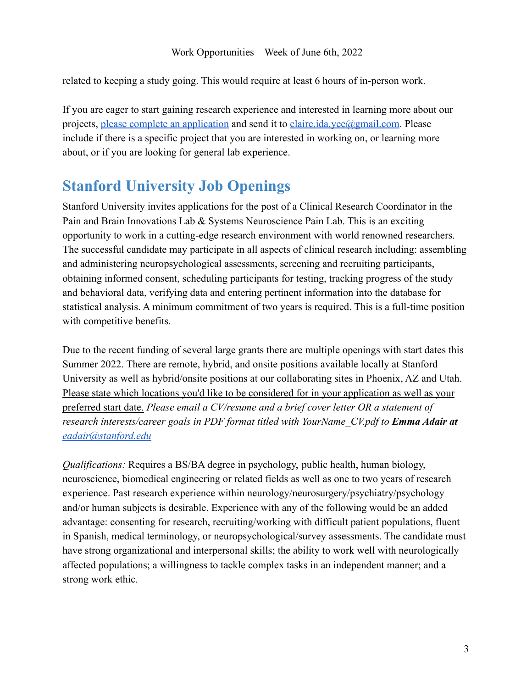related to keeping a study going. This would require at least 6 hours of in-person work.

If you are eager to start gaining research experience and interested in learning more about our projects, [please complete an application](https://bpl.berkeley.edu/research_positions.html) and send it to [claire.ida.yee@gmail.com.](mailto:claire.ida.yee@gmail.com) Please include if there is a specific project that you are interested in working on, or learning more about, or if you are looking for general lab experience.

### <span id="page-2-0"></span>**Stanford University Job Openings**

Stanford University invites applications for the post of a Clinical Research Coordinator in the Pain and Brain Innovations Lab & Systems Neuroscience Pain Lab. This is an exciting opportunity to work in a cutting-edge research environment with world renowned researchers. The successful candidate may participate in all aspects of clinical research including: assembling and administering neuropsychological assessments, screening and recruiting participants, obtaining informed consent, scheduling participants for testing, tracking progress of the study and behavioral data, verifying data and entering pertinent information into the database for statistical analysis. A minimum commitment of two years is required. This is a full-time position with competitive benefits.

Due to the recent funding of several large grants there are multiple openings with start dates this Summer 2022. There are remote, hybrid, and onsite positions available locally at Stanford University as well as hybrid/onsite positions at our collaborating sites in Phoenix, AZ and Utah. Please state which locations you'd like to be considered for in your application as well as your preferred start date. *Please email a CV/resume and a brief cover letter OR a statement of research interests/career goals in PDF format titled with YourName\_CV.pdf to Emma Adair at [eadair@stanford.edu](mailto:eadair@stanford.edu)*

*Qualifications:* Requires a BS/BA degree in psychology, public health, human biology, neuroscience, biomedical engineering or related fields as well as one to two years of research experience. Past research experience within neurology/neurosurgery/psychiatry/psychology and/or human subjects is desirable. Experience with any of the following would be an added advantage: consenting for research, recruiting/working with difficult patient populations, fluent in Spanish, medical terminology, or neuropsychological/survey assessments. The candidate must have strong organizational and interpersonal skills; the ability to work well with neurologically affected populations; a willingness to tackle complex tasks in an independent manner; and a strong work ethic.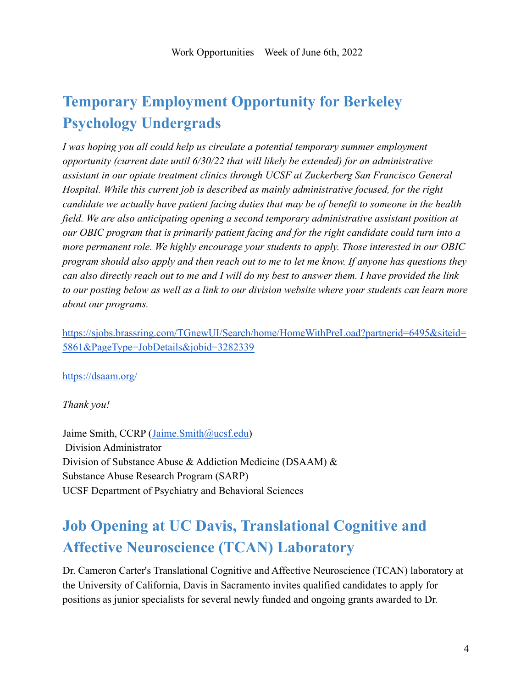# <span id="page-3-0"></span>**Temporary Employment Opportunity for Berkeley Psychology Undergrads**

*I was hoping you all could help us circulate a potential temporary summer employment opportunity (current date until 6/30/22 that will likely be extended) for an administrative assistant in our opiate treatment clinics through UCSF at Zuckerberg San Francisco General Hospital. While this current job is described as mainly administrative focused, for the right candidate we actually have patient facing duties that may be of benefit to someone in the health field. We are also anticipating opening a second temporary administrative assistant position at our OBIC program that is primarily patient facing and for the right candidate could turn into a more permanent role. We highly encourage your students to apply. Those interested in our OBIC program should also apply and then reach out to me to let me know. If anyone has questions they can also directly reach out to me and I will do my best to answer them. I have provided the link to our posting below as well as a link to our division website where your students can learn more about our programs.*

[https://sjobs.brassring.com/TGnewUI/Search/home/HomeWithPreLoad?partnerid=6495&siteid=](https://sjobs.brassring.com/TGnewUI/Search/home/HomeWithPreLoad?partnerid=6495&siteid=5861&PageType=JobDetails&jobid=3282339) [5861&PageType=JobDetails&jobid=3282339](https://sjobs.brassring.com/TGnewUI/Search/home/HomeWithPreLoad?partnerid=6495&siteid=5861&PageType=JobDetails&jobid=3282339)

<https://dsaam.org/>

*Thank you!*

Jaime Smith, CCRP ([Jaime.Smith@ucsf.edu](mailto:Jaime.Smith@ucsf.edu)) Division Administrator Division of Substance Abuse & Addiction Medicine (DSAAM) & Substance Abuse Research Program (SARP) UCSF Department of Psychiatry and Behavioral Sciences

## <span id="page-3-1"></span>**Job Opening at UC Davis, Translational Cognitive and Affective Neuroscience (TCAN) Laboratory**

Dr. Cameron Carter's Translational Cognitive and Affective Neuroscience (TCAN) laboratory at the University of California, Davis in Sacramento invites qualified candidates to apply for positions as junior specialists for several newly funded and ongoing grants awarded to Dr.